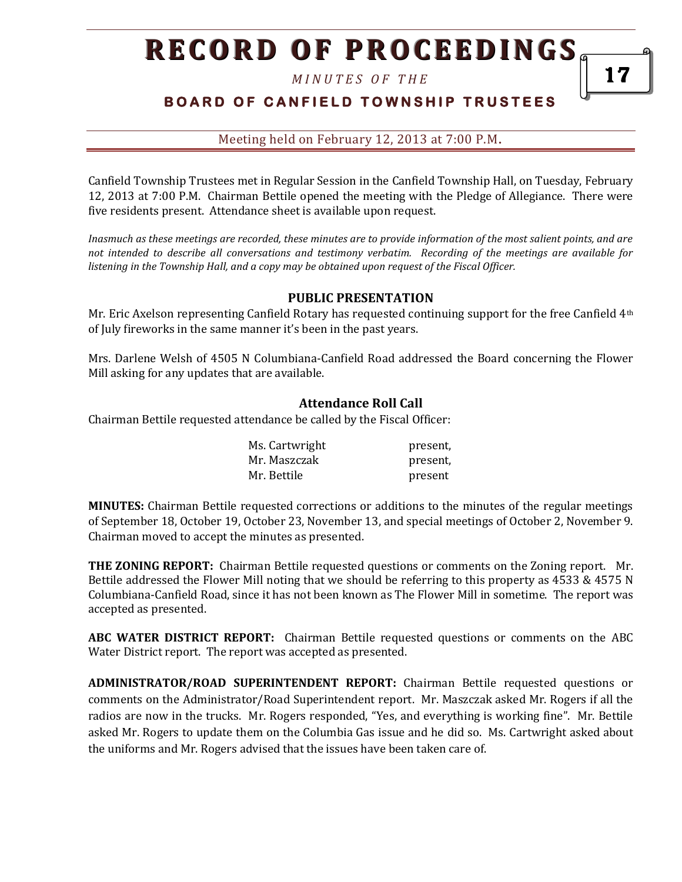*M I N U T E S O F T H E*

# **BOARD OF CANFIELD TOWNSHIP TRUSTEES**

Meeting held on February 12, 2013 at 7:00 P.M**.**

Canfield Township Trustees met in Regular Session in the Canfield Township Hall, on Tuesday, February 12, 2013 at 7:00 P.M. Chairman Bettile opened the meeting with the Pledge of Allegiance. There were five residents present. Attendance sheet is available upon request.

*Inasmuch as these meetings are recorded, these minutes are to provide information of the most salient points, and are not intended to describe all conversations and testimony verbatim. Recording of the meetings are available for listening in the Township Hall, and a copy may be obtained upon request of the Fiscal Officer.* 

## **PUBLIC PRESENTATION**

Mr. Eric Axelson representing Canfield Rotary has requested continuing support for the free Canfield 4th of July fireworks in the same manner it's been in the past years.

Mrs. Darlene Welsh of 4505 N Columbiana-Canfield Road addressed the Board concerning the Flower Mill asking for any updates that are available.

#### **Attendance Roll Call**

Chairman Bettile requested attendance be called by the Fiscal Officer:

| Ms. Cartwright | present, |
|----------------|----------|
| Mr. Maszczak   | present, |
| Mr. Bettile    | present  |

**MINUTES:** Chairman Bettile requested corrections or additions to the minutes of the regular meetings of September 18, October 19, October 23, November 13, and special meetings of October 2, November 9. Chairman moved to accept the minutes as presented.

**THE ZONING REPORT:** Chairman Bettile requested questions or comments on the Zoning report. Mr. Bettile addressed the Flower Mill noting that we should be referring to this property as 4533 & 4575 N Columbiana-Canfield Road, since it has not been known as The Flower Mill in sometime. The report was accepted as presented.

**ABC WATER DISTRICT REPORT:** Chairman Bettile requested questions or comments on the ABC Water District report. The report was accepted as presented.

**ADMINISTRATOR/ROAD SUPERINTENDENT REPORT:** Chairman Bettile requested questions or comments on the Administrator/Road Superintendent report. Mr. Maszczak asked Mr. Rogers if all the radios are now in the trucks. Mr. Rogers responded, "Yes, and everything is working fine". Mr. Bettile asked Mr. Rogers to update them on the Columbia Gas issue and he did so. Ms. Cartwright asked about the uniforms and Mr. Rogers advised that the issues have been taken care of.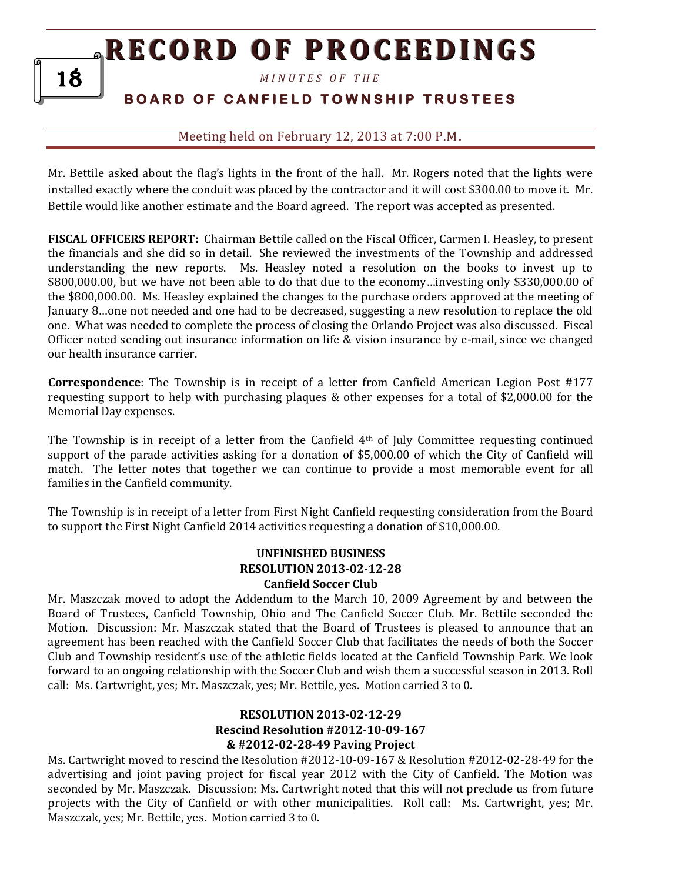*M I N U T E S O F T H E* 

# **B O A R D O F C A N F I E L D T O W N S H I P T R U S T E E S**

## Meeting held on February 12, 2013 at 7:00 P.M**.**

Mr. Bettile asked about the flag's lights in the front of the hall. Mr. Rogers noted that the lights were installed exactly where the conduit was placed by the contractor and it will cost \$300.00 to move it. Mr. Bettile would like another estimate and the Board agreed. The report was accepted as presented.

**FISCAL OFFICERS REPORT:** Chairman Bettile called on the Fiscal Officer, Carmen I. Heasley, to present the financials and she did so in detail. She reviewed the investments of the Township and addressed understanding the new reports. Ms. Heasley noted a resolution on the books to invest up to \$800,000.00, but we have not been able to do that due to the economy…investing only \$330,000.00 of the \$800,000.00. Ms. Heasley explained the changes to the purchase orders approved at the meeting of January 8…one not needed and one had to be decreased, suggesting a new resolution to replace the old one. What was needed to complete the process of closing the Orlando Project was also discussed. Fiscal Officer noted sending out insurance information on life & vision insurance by e-mail, since we changed our health insurance carrier.

**Correspondence**: The Township is in receipt of a letter from Canfield American Legion Post #177 requesting support to help with purchasing plaques & other expenses for a total of \$2,000.00 for the Memorial Day expenses.

The Township is in receipt of a letter from the Canfield  $4<sup>th</sup>$  of July Committee requesting continued support of the parade activities asking for a donation of \$5,000.00 of which the City of Canfield will match. The letter notes that together we can continue to provide a most memorable event for all families in the Canfield community.

The Township is in receipt of a letter from First Night Canfield requesting consideration from the Board to support the First Night Canfield 2014 activities requesting a donation of \$10,000.00.

### **UNFINISHED BUSINESS RESOLUTION 2013-02-12-28 Canfield Soccer Club**

Mr. Maszczak moved to adopt the Addendum to the March 10, 2009 Agreement by and between the Board of Trustees, Canfield Township, Ohio and The Canfield Soccer Club. Mr. Bettile seconded the Motion. Discussion: Mr. Maszczak stated that the Board of Trustees is pleased to announce that an agreement has been reached with the Canfield Soccer Club that facilitates the needs of both the Soccer Club and Township resident's use of the athletic fields located at the Canfield Township Park. We look forward to an ongoing relationship with the Soccer Club and wish them a successful season in 2013. Roll call: Ms. Cartwright, yes; Mr. Maszczak, yes; Mr. Bettile, yes. Motion carried 3 to 0.

## **RESOLUTION 2013-02-12-29 Rescind Resolution #2012-10-09-167 & #2012-02-28-49 Paving Project**

Ms. Cartwright moved to rescind the Resolution #2012-10-09-167 & Resolution #2012-02-28-49 for the advertising and joint paving project for fiscal year 2012 with the City of Canfield. The Motion was seconded by Mr. Maszczak. Discussion: Ms. Cartwright noted that this will not preclude us from future projects with the City of Canfield or with other municipalities. Roll call: Ms. Cartwright, yes; Mr. Maszczak, yes; Mr. Bettile, yes. Motion carried 3 to 0.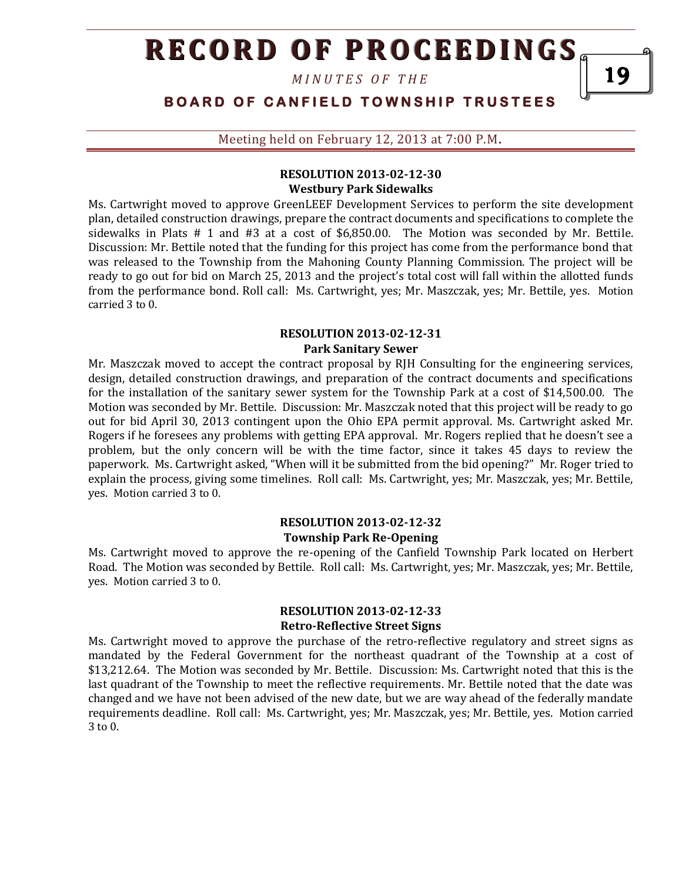*M I N U T E S O F T H E*

**BOARD OF CANFIELD TOWNSHIP TRUSTEES** 

Meeting held on February 12, 2013 at 7:00 P.M**.**

## **RESOLUTION 2013-02-12-30 Westbury Park Sidewalks**

Ms. Cartwright moved to approve GreenLEEF Development Services to perform the site development plan, detailed construction drawings, prepare the contract documents and specifications to complete the sidewalks in Plats # 1 and #3 at a cost of \$6,850.00. The Motion was seconded by Mr. Bettile. Discussion: Mr. Bettile noted that the funding for this project has come from the performance bond that was released to the Township from the Mahoning County Planning Commission. The project will be ready to go out for bid on March 25, 2013 and the project's total cost will fall within the allotted funds from the performance bond. Roll call: Ms. Cartwright, yes; Mr. Maszczak, yes; Mr. Bettile, yes. Motion carried 3 to 0.

### **RESOLUTION 2013-02-12-31 Park Sanitary Sewer**

Mr. Maszczak moved to accept the contract proposal by RJH Consulting for the engineering services, design, detailed construction drawings, and preparation of the contract documents and specifications for the installation of the sanitary sewer system for the Township Park at a cost of \$14,500.00. The Motion was seconded by Mr. Bettile. Discussion: Mr. Maszczak noted that this project will be ready to go out for bid April 30, 2013 contingent upon the Ohio EPA permit approval. Ms. Cartwright asked Mr. Rogers if he foresees any problems with getting EPA approval. Mr. Rogers replied that he doesn't see a problem, but the only concern will be with the time factor, since it takes 45 days to review the paperwork. Ms. Cartwright asked, "When will it be submitted from the bid opening?" Mr. Roger tried to explain the process, giving some timelines. Roll call: Ms. Cartwright, yes; Mr. Maszczak, yes; Mr. Bettile, yes. Motion carried 3 to 0.

## **RESOLUTION 2013-02-12-32 Township Park Re-Opening**

Ms. Cartwright moved to approve the re-opening of the Canfield Township Park located on Herbert Road. The Motion was seconded by Bettile. Roll call: Ms. Cartwright, yes; Mr. Maszczak, yes; Mr. Bettile, yes. Motion carried 3 to 0.

### **RESOLUTION 2013-02-12-33 Retro-Reflective Street Signs**

Ms. Cartwright moved to approve the purchase of the retro-reflective regulatory and street signs as mandated by the Federal Government for the northeast quadrant of the Township at a cost of \$13,212.64. The Motion was seconded by Mr. Bettile. Discussion: Ms. Cartwright noted that this is the last quadrant of the Township to meet the reflective requirements. Mr. Bettile noted that the date was changed and we have not been advised of the new date, but we are way ahead of the federally mandate requirements deadline. Roll call: Ms. Cartwright, yes; Mr. Maszczak, yes; Mr. Bettile, yes. Motion carried 3 to 0.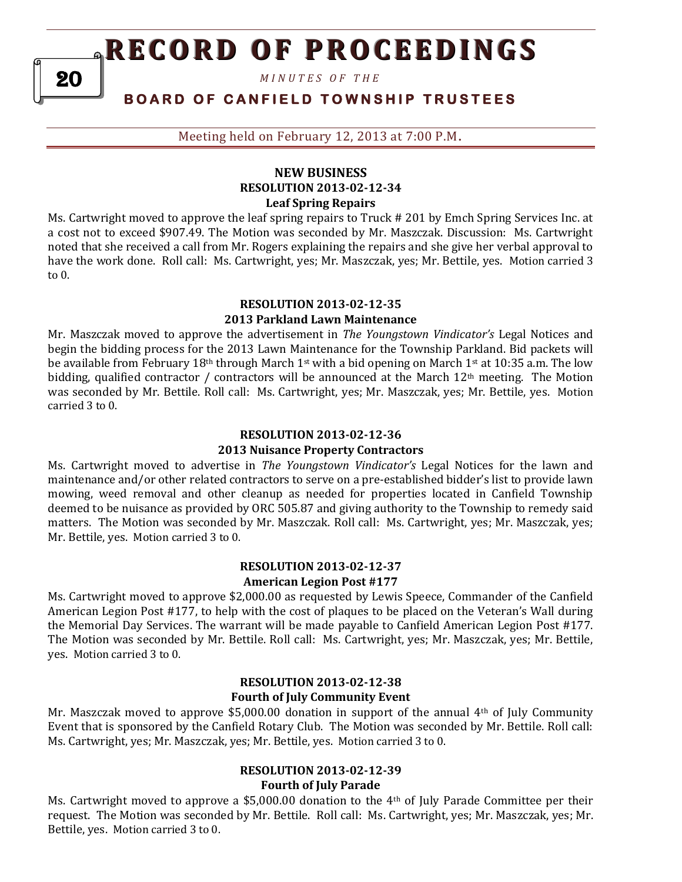*M I N U T E S O F T H E* 

# **B O A R D O F C A N F I E L D T O W N S H I P T R U S T E E S**

Meeting held on February 12, 2013 at 7:00 P.M**.**

#### **NEW BUSINESS RESOLUTION 2013-02-12-34 Leaf Spring Repairs**

Ms. Cartwright moved to approve the leaf spring repairs to Truck # 201 by Emch Spring Services Inc. at a cost not to exceed \$907.49. The Motion was seconded by Mr. Maszczak. Discussion: Ms. Cartwright noted that she received a call from Mr. Rogers explaining the repairs and she give her verbal approval to have the work done. Roll call: Ms. Cartwright, yes; Mr. Maszczak, yes; Mr. Bettile, yes. Motion carried 3 to 0.

## **RESOLUTION 2013-02-12-35 2013 Parkland Lawn Maintenance**

Mr. Maszczak moved to approve the advertisement in *The Youngstown Vindicator's* Legal Notices and begin the bidding process for the 2013 Lawn Maintenance for the Township Parkland. Bid packets will be available from February 18th through March 1st with a bid opening on March 1st at 10:35 a.m. The low bidding, qualified contractor / contractors will be announced at the March  $12<sup>th</sup>$  meeting. The Motion was seconded by Mr. Bettile. Roll call: Ms. Cartwright, yes; Mr. Maszczak, yes; Mr. Bettile, yes. Motion carried 3 to 0.

#### **RESOLUTION 2013-02-12-36**

#### **2013 Nuisance Property Contractors**

Ms. Cartwright moved to advertise in *The Youngstown Vindicator's* Legal Notices for the lawn and maintenance and/or other related contractors to serve on a pre-established bidder's list to provide lawn mowing, weed removal and other cleanup as needed for properties located in Canfield Township deemed to be nuisance as provided by ORC 505.87 and giving authority to the Township to remedy said matters. The Motion was seconded by Mr. Maszczak. Roll call: Ms. Cartwright, yes; Mr. Maszczak, yes; Mr. Bettile, yes. Motion carried 3 to 0.

## **RESOLUTION 2013-02-12-37 American Legion Post #177**

Ms. Cartwright moved to approve \$2,000.00 as requested by Lewis Speece, Commander of the Canfield American Legion Post #177, to help with the cost of plaques to be placed on the Veteran's Wall during the Memorial Day Services. The warrant will be made payable to Canfield American Legion Post #177. The Motion was seconded by Mr. Bettile. Roll call: Ms. Cartwright, yes; Mr. Maszczak, yes; Mr. Bettile, yes. Motion carried 3 to 0.

## **RESOLUTION 2013-02-12-38 Fourth of July Community Event**

Mr. Maszczak moved to approve \$5,000.00 donation in support of the annual 4th of July Community Event that is sponsored by the Canfield Rotary Club. The Motion was seconded by Mr. Bettile. Roll call: Ms. Cartwright, yes; Mr. Maszczak, yes; Mr. Bettile, yes. Motion carried 3 to 0.

#### **RESOLUTION 2013-02-12-39 Fourth of July Parade**

Ms. Cartwright moved to approve a \$5,000.00 donation to the 4th of July Parade Committee per their request. The Motion was seconded by Mr. Bettile. Roll call: Ms. Cartwright, yes; Mr. Maszczak, yes; Mr. Bettile, yes. Motion carried 3 to 0.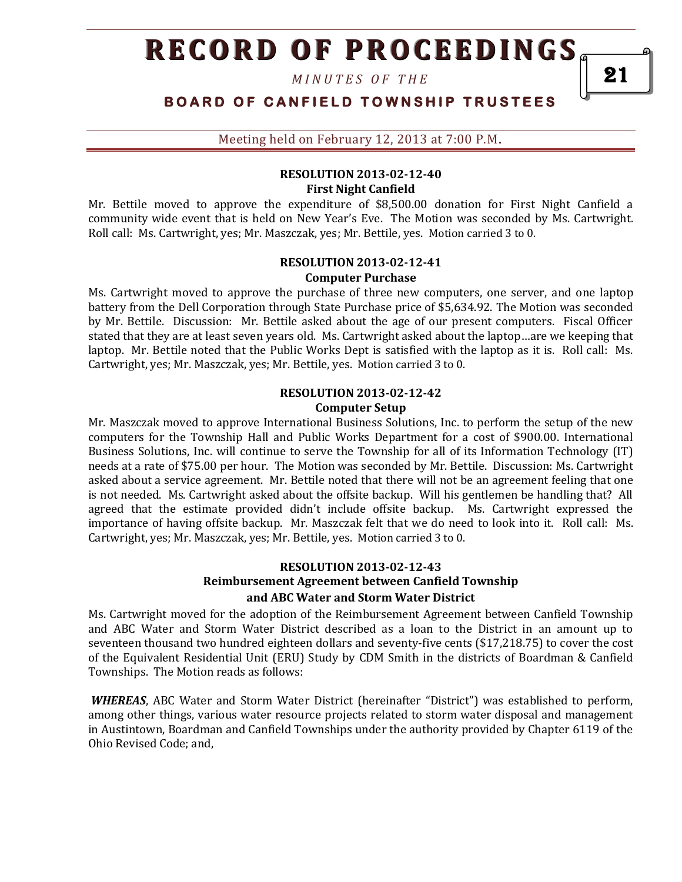*M I N U T E S O F T H E*

**BOARD OF CANFIELD TOWNSHIP TRUSTEES** 

Meeting held on February 12, 2013 at 7:00 P.M**.**

## **RESOLUTION 2013-02-12-40 First Night Canfield**

Mr. Bettile moved to approve the expenditure of \$8,500.00 donation for First Night Canfield a community wide event that is held on New Year's Eve. The Motion was seconded by Ms. Cartwright. Roll call: Ms. Cartwright, yes; Mr. Maszczak, yes; Mr. Bettile, yes. Motion carried 3 to 0.

#### **RESOLUTION 2013-02-12-41 Computer Purchase**

Ms. Cartwright moved to approve the purchase of three new computers, one server, and one laptop battery from the Dell Corporation through State Purchase price of \$5,634.92. The Motion was seconded by Mr. Bettile. Discussion: Mr. Bettile asked about the age of our present computers. Fiscal Officer stated that they are at least seven years old. Ms. Cartwright asked about the laptop…are we keeping that laptop. Mr. Bettile noted that the Public Works Dept is satisfied with the laptop as it is. Roll call: Ms. Cartwright, yes; Mr. Maszczak, yes; Mr. Bettile, yes. Motion carried 3 to 0.

#### **RESOLUTION 2013-02-12-42 Computer Setup**

Mr. Maszczak moved to approve International Business Solutions, Inc. to perform the setup of the new computers for the Township Hall and Public Works Department for a cost of \$900.00. International Business Solutions, Inc. will continue to serve the Township for all of its Information Technology (IT) needs at a rate of \$75.00 per hour. The Motion was seconded by Mr. Bettile. Discussion: Ms. Cartwright asked about a service agreement. Mr. Bettile noted that there will not be an agreement feeling that one is not needed. Ms. Cartwright asked about the offsite backup. Will his gentlemen be handling that? All agreed that the estimate provided didn't include offsite backup. Ms. Cartwright expressed the importance of having offsite backup. Mr. Maszczak felt that we do need to look into it. Roll call: Ms. Cartwright, yes; Mr. Maszczak, yes; Mr. Bettile, yes. Motion carried 3 to 0.

# **RESOLUTION 2013-02-12-43 Reimbursement Agreement between Canfield Township and ABC Water and Storm Water District**

Ms. Cartwright moved for the adoption of the Reimbursement Agreement between Canfield Township and ABC Water and Storm Water District described as a loan to the District in an amount up to seventeen thousand two hundred eighteen dollars and seventy-five cents (\$17,218.75) to cover the cost of the Equivalent Residential Unit (ERU) Study by CDM Smith in the districts of Boardman & Canfield Townships. The Motion reads as follows:

*WHEREAS*, ABC Water and Storm Water District (hereinafter "District") was established to perform, among other things, various water resource projects related to storm water disposal and management in Austintown, Boardman and Canfield Townships under the authority provided by Chapter 6119 of the Ohio Revised Code; and,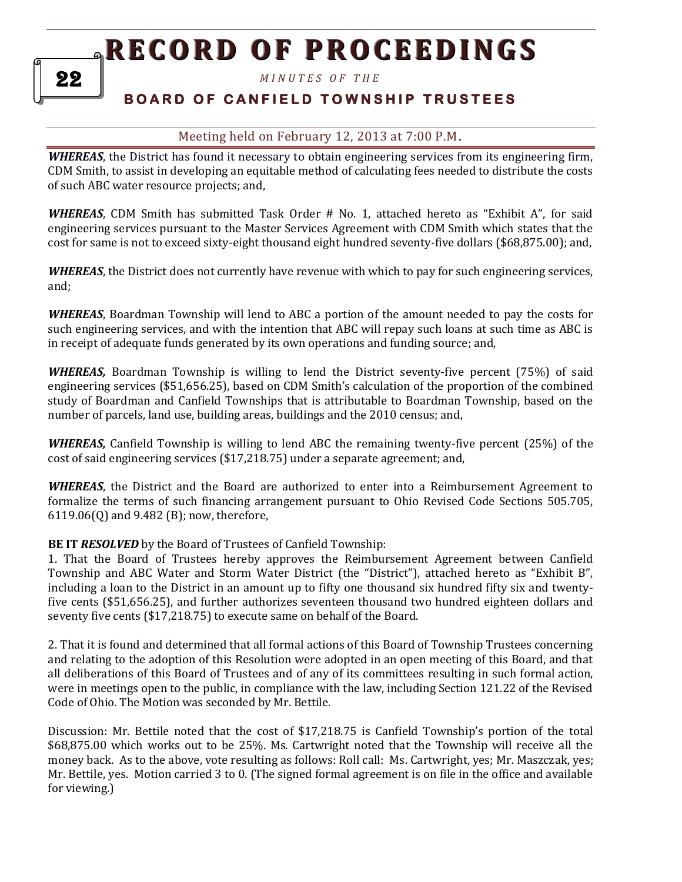*M I N U T E S O F T H E* 

# **B O A R D O F C A N F I E L D T O W N S H I P T R U S T E E S**

## Meeting held on February 12, 2013 at 7:00 P.M**.**

*WHEREAS*, the District has found it necessary to obtain engineering services from its engineering firm, CDM Smith, to assist in developing an equitable method of calculating fees needed to distribute the costs of such ABC water resource projects; and,

*WHEREAS*, CDM Smith has submitted Task Order # No. 1, attached hereto as "Exhibit A", for said engineering services pursuant to the Master Services Agreement with CDM Smith which states that the cost for same is not to exceed sixty-eight thousand eight hundred seventy-five dollars (\$68,875.00); and,

*WHEREAS*, the District does not currently have revenue with which to pay for such engineering services, and;

*WHEREAS*, Boardman Township will lend to ABC a portion of the amount needed to pay the costs for such engineering services, and with the intention that ABC will repay such loans at such time as ABC is in receipt of adequate funds generated by its own operations and funding source; and,

**WHEREAS,** Boardman Township is willing to lend the District seventy-five percent (75%) of said engineering services (\$51,656.25), based on CDM Smith's calculation of the proportion of the combined study of Boardman and Canfield Townships that is attributable to Boardman Township, based on the number of parcels, land use, building areas, buildings and the 2010 census; and,

*WHEREAS,* Canfield Township is willing to lend ABC the remaining twenty-five percent (25%) of the cost of said engineering services (\$17,218.75) under a separate agreement; and,

*WHEREAS*, the District and the Board are authorized to enter into a Reimbursement Agreement to formalize the terms of such financing arrangement pursuant to Ohio Revised Code Sections 505.705, 6119.06(Q) and 9.482 (B); now, therefore,

**BE IT** *RESOLVED* by the Board of Trustees of Canfield Township:

1. That the Board of Trustees hereby approves the Reimbursement Agreement between Canfield Township and ABC Water and Storm Water District (the "District"), attached hereto as "Exhibit B", including a loan to the District in an amount up to fifty one thousand six hundred fifty six and twentyfive cents (\$51,656.25), and further authorizes seventeen thousand two hundred eighteen dollars and seventy five cents (\$17,218.75) to execute same on behalf of the Board.

2. That it is found and determined that all formal actions of this Board of Township Trustees concerning and relating to the adoption of this Resolution were adopted in an open meeting of this Board, and that all deliberations of this Board of Trustees and of any of its committees resulting in such formal action, were in meetings open to the public, in compliance with the law, including Section 121.22 of the Revised Code of Ohio. The Motion was seconded by Mr. Bettile.

Discussion: Mr. Bettile noted that the cost of \$17,218.75 is Canfield Township's portion of the total \$68,875.00 which works out to be 25%. Ms. Cartwright noted that the Township will receive all the money back. As to the above, vote resulting as follows: Roll call: Ms. Cartwright, yes; Mr. Maszczak, yes; Mr. Bettile, yes. Motion carried 3 to 0. (The signed formal agreement is on file in the office and available for viewing.)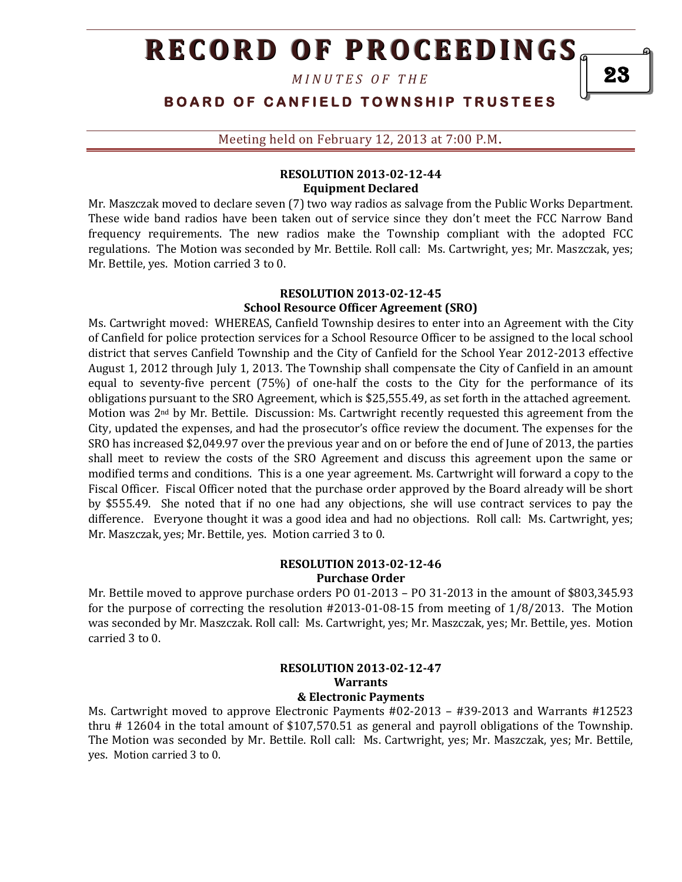*M I N U T E S O F T H E*

**BOARD OF CANFIELD TOWNSHIP TRUSTEES** 

Meeting held on February 12, 2013 at 7:00 P.M**.**

### **RESOLUTION 2013-02-12-44 Equipment Declared**

Mr. Maszczak moved to declare seven (7) two way radios as salvage from the Public Works Department. These wide band radios have been taken out of service since they don't meet the FCC Narrow Band frequency requirements. The new radios make the Township compliant with the adopted FCC regulations. The Motion was seconded by Mr. Bettile. Roll call: Ms. Cartwright, yes; Mr. Maszczak, yes; Mr. Bettile, yes. Motion carried 3 to 0.

#### **RESOLUTION 2013-02-12-45 School Resource Officer Agreement (SRO)**

Ms. Cartwright moved: WHEREAS, Canfield Township desires to enter into an Agreement with the City of Canfield for police protection services for a School Resource Officer to be assigned to the local school district that serves Canfield Township and the City of Canfield for the School Year 2012-2013 effective August 1, 2012 through July 1, 2013. The Township shall compensate the City of Canfield in an amount equal to seventy-five percent (75%) of one-half the costs to the City for the performance of its obligations pursuant to the SRO Agreement, which is \$25,555.49, as set forth in the attached agreement. Motion was 2nd by Mr. Bettile. Discussion: Ms. Cartwright recently requested this agreement from the City, updated the expenses, and had the prosecutor's office review the document. The expenses for the SRO has increased \$2,049.97 over the previous year and on or before the end of June of 2013, the parties shall meet to review the costs of the SRO Agreement and discuss this agreement upon the same or modified terms and conditions. This is a one year agreement. Ms. Cartwright will forward a copy to the Fiscal Officer. Fiscal Officer noted that the purchase order approved by the Board already will be short by \$555.49. She noted that if no one had any objections, she will use contract services to pay the difference. Everyone thought it was a good idea and had no objections. Roll call: Ms. Cartwright, yes; Mr. Maszczak, yes; Mr. Bettile, yes. Motion carried 3 to 0.

### **RESOLUTION 2013-02-12-46 Purchase Order**

Mr. Bettile moved to approve purchase orders PO 01-2013 – PO 31-2013 in the amount of \$803,345.93 for the purpose of correcting the resolution #2013-01-08-15 from meeting of 1/8/2013. The Motion was seconded by Mr. Maszczak. Roll call: Ms. Cartwright, yes; Mr. Maszczak, yes; Mr. Bettile, yes. Motion carried 3 to 0.

#### **RESOLUTION 2013-02-12-47 Warrants & Electronic Payments**

Ms. Cartwright moved to approve Electronic Payments #02-2013 – #39-2013 and Warrants #12523 thru # 12604 in the total amount of \$107,570.51 as general and payroll obligations of the Township. The Motion was seconded by Mr. Bettile. Roll call: Ms. Cartwright, yes; Mr. Maszczak, yes; Mr. Bettile, yes. Motion carried 3 to 0.